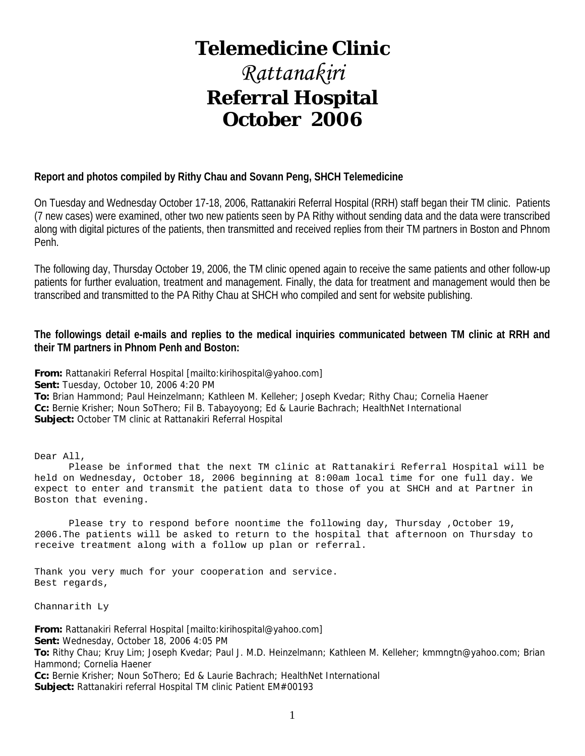## **Telemedicine Clinic**

# *Rattanakiri*  **Referral Hospital October 2006**

#### **Report and photos compiled by Rithy Chau and Sovann Peng, SHCH Telemedicine**

On Tuesday and Wednesday October 17-18, 2006, Rattanakiri Referral Hospital (RRH) staff began their TM clinic. Patients (7 new cases) were examined, other two new patients seen by PA Rithy without sending data and the data were transcribed along with digital pictures of the patients, then transmitted and received replies from their TM partners in Boston and Phnom Penh.

The following day, Thursday October 19, 2006, the TM clinic opened again to receive the same patients and other follow-up patients for further evaluation, treatment and management. Finally, the data for treatment and management would then be transcribed and transmitted to the PA Rithy Chau at SHCH who compiled and sent for website publishing.

#### **The followings detail e-mails and replies to the medical inquiries communicated between TM clinic at RRH and their TM partners in Phnom Penh and Boston:**

**From:** Rattanakiri Referral Hospital [mailto:kirihospital@yahoo.com] **Sent:** Tuesday, October 10, 2006 4:20 PM **To:** Brian Hammond; Paul Heinzelmann; Kathleen M. Kelleher; Joseph Kvedar; Rithy Chau; Cornelia Haener **Cc:** Bernie Krisher; Noun SoThero; Fil B. Tabayoyong; Ed & Laurie Bachrach; HealthNet International **Subject:** October TM clinic at Rattanakiri Referral Hospital

Dear All,

 Please be informed that the next TM clinic at Rattanakiri Referral Hospital will be held on Wednesday, October 18, 2006 beginning at 8:00am local time for one full day. We expect to enter and transmit the patient data to those of you at SHCH and at Partner in Boston that evening.

Please try to respond before noontime the following day, Thursday , October 19, 2006.The patients will be asked to return to the hospital that afternoon on Thursday to receive treatment along with a follow up plan or referral.

Thank you very much for your cooperation and service. Best regards,

Channarith Ly

**From:** Rattanakiri Referral Hospital [mailto:kirihospital@yahoo.com] **Sent:** Wednesday, October 18, 2006 4:05 PM **To:** Rithy Chau; Kruy Lim; Joseph Kvedar; Paul J. M.D. Heinzelmann; Kathleen M. Kelleher; kmmngtn@yahoo.com; Brian Hammond; Cornelia Haener **Cc:** Bernie Krisher; Noun SoThero; Ed & Laurie Bachrach; HealthNet International **Subject:** Rattanakiri referral Hospital TM clinic Patient EM#00193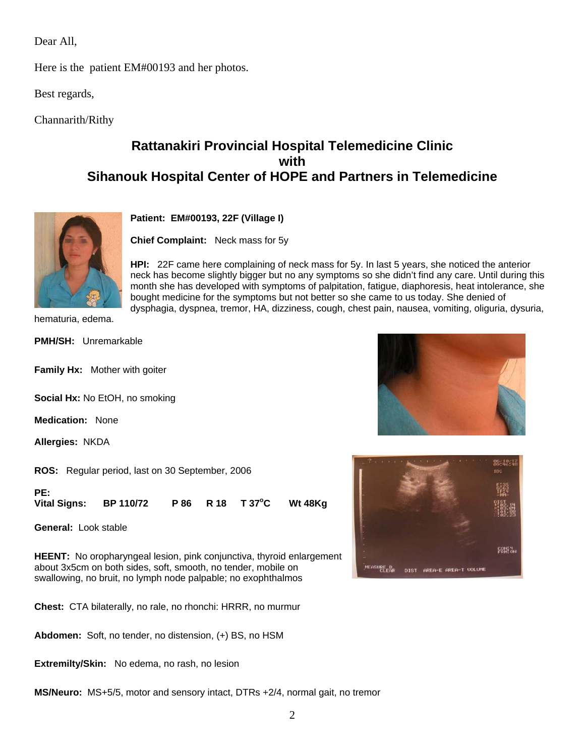Dear All,

Here is the patient EM#00193 and her photos.

Best regards,

Channarith/Rithy

## **Rattanakiri Provincial Hospital Telemedicine Clinic with Sihanouk Hospital Center of HOPE and Partners in Telemedicine**



**Patient: EM#00193, 22F (Village I)** 

**Chief Complaint:** Neck mass for 5y

**HPI:** 22F came here complaining of neck mass for 5y. In last 5 years, she noticed the anterior neck has become slightly bigger but no any symptoms so she didn't find any care. Until during this month she has developed with symptoms of palpitation, fatigue, diaphoresis, heat intolerance, she bought medicine for the symptoms but not better so she came to us today. She denied of dysphagia, dyspnea, tremor, HA, dizziness, cough, chest pain, nausea, vomiting, oliguria, dysuria,

hematuria, edema.

**PMH/SH:** Unremarkable

**Family Hx:** Mother with goiter

**Social Hx:** No EtOH, no smoking

**Medication:** None

**Allergies:** NKDA

**ROS:** Regular period, last on 30 September, 2006

**PE: Vital Signs: BP 110/72 P 86 R 18 T 37o Wt 48Kg** 

**General:** Look stable

**HEENT:** No oropharyngeal lesion, pink conjunctiva, thyroid enlargement about 3x5cm on both sides, soft, smooth, no tender, mobile on swallowing, no bruit, no lymph node palpable; no exophthalmos

**Chest:** CTA bilaterally, no rale, no rhonchi: HRRR, no murmur

**Abdomen:** Soft, no tender, no distension, (+) BS, no HSM

**Extremilty/Skin:** No edema, no rash, no lesion

**MS/Neuro:** MS+5/5, motor and sensory intact, DTRs +2/4, normal gait, no tremor



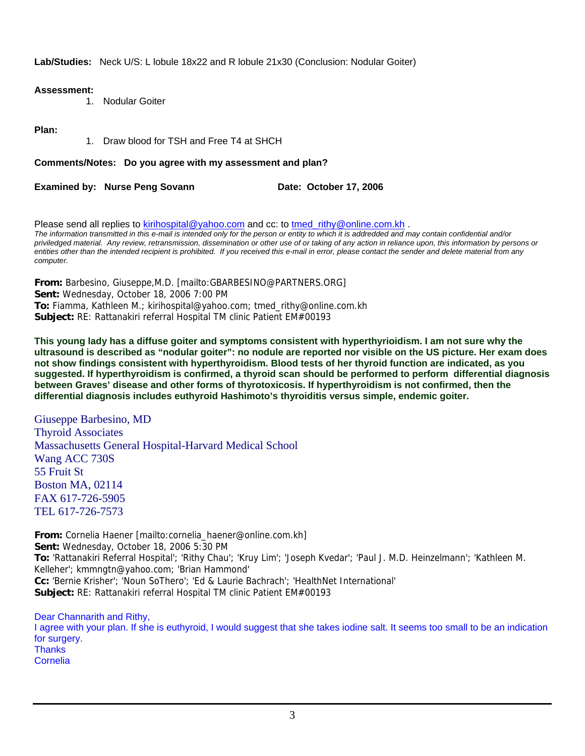**Lab/Studies:** Neck U/S: L lobule 18x22 and R lobule 21x30 (Conclusion: Nodular Goiter)

#### **Assessment:**

1. Nodular Goiter

#### **Plan:**

1. Draw blood for TSH and Free T4 at SHCH

**Comments/Notes: Do you agree with my assessment and plan?**

**Examined by: Nurse Peng Sovann Case Contract Participate: October 17, 2006** 

Please send all replies to [kirihospital@yahoo.com](mailto:kirihospital@yahoo.com) and cc: to tmed rithy@online.com.kh . *The information transmitted in this e-mail is intended only for the person or entity to which it is addredded and may contain confidential and/or priviledged material. Any review, retransmission, dissemination or other use of or taking of any action in reliance upon, this information by persons or entities other than the intended recipient is prohibited. If you received this e-mail in error, please contact the sender and delete material from any computer.*

**From:** Barbesino, Giuseppe,M.D. [mailto:GBARBESINO@PARTNERS.ORG] **Sent:** Wednesday, October 18, 2006 7:00 PM **To:** Fiamma, Kathleen M.; kirihospital@yahoo.com; tmed\_rithy@online.com.kh **Subject:** RE: Rattanakiri referral Hospital TM clinic Patient EM#00193

**This young lady has a diffuse goiter and symptoms consistent with hyperthyrioidism. I am not sure why the ultrasound is described as "nodular goiter": no nodule are reported nor visible on the US picture. Her exam does not show findings consistent with hyperthyroidism. Blood tests of her thyroid function are indicated, as you suggested. If hyperthyroidism is confirmed, a thyroid scan should be performed to perform differential diagnosis between Graves' disease and other forms of thyrotoxicosis. If hyperthyroidism is not confirmed, then the differential diagnosis includes euthyroid Hashimoto's thyroiditis versus simple, endemic goiter.** 

Giuseppe Barbesino, MD Thyroid Associates Massachusetts General Hospital-Harvard Medical School Wang ACC 730S 55 Fruit St Boston MA, 02114 FAX 617-726-5905 TEL 617-726-7573

**From:** Cornelia Haener [mailto:cornelia\_haener@online.com.kh] **Sent:** Wednesday, October 18, 2006 5:30 PM **To:** 'Rattanakiri Referral Hospital'; 'Rithy Chau'; 'Kruy Lim'; 'Joseph Kvedar'; 'Paul J. M.D. Heinzelmann'; 'Kathleen M. Kelleher'; kmmngtn@yahoo.com; 'Brian Hammond' **Cc:** 'Bernie Krisher'; 'Noun SoThero'; 'Ed & Laurie Bachrach'; 'HealthNet International' **Subject:** RE: Rattanakiri referral Hospital TM clinic Patient EM#00193

Dear Channarith and Rithy, I agree with your plan. If she is euthyroid, I would suggest that she takes iodine salt. It seems too small to be an indication for surgery. **Thanks** Cornelia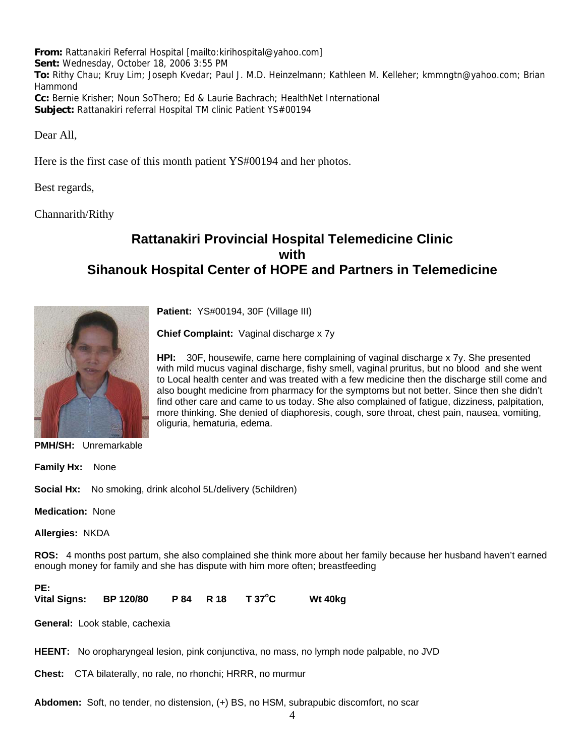**From:** Rattanakiri Referral Hospital [mailto:kirihospital@yahoo.com] **Sent:** Wednesday, October 18, 2006 3:55 PM **To:** Rithy Chau; Kruy Lim; Joseph Kvedar; Paul J. M.D. Heinzelmann; Kathleen M. Kelleher; kmmngtn@yahoo.com; Brian Hammond **Cc:** Bernie Krisher; Noun SoThero; Ed & Laurie Bachrach; HealthNet International **Subject:** Rattanakiri referral Hospital TM clinic Patient YS#00194

Dear All,

Here is the first case of this month patient YS#00194 and her photos.

Best regards,

Channarith/Rithy

## **Rattanakiri Provincial Hospital Telemedicine Clinic with Sihanouk Hospital Center of HOPE and Partners in Telemedicine**



**Patient:** YS#00194, 30F (Village III)

**Chief Complaint:** Vaginal discharge x 7y

**HPI:** 30F, housewife, came here complaining of vaginal discharge x 7y. She presented with mild mucus vaginal discharge, fishy smell, vaginal pruritus, but no blood and she went to Local health center and was treated with a few medicine then the discharge still come and also bought medicine from pharmacy for the symptoms but not better. Since then she didn't find other care and came to us today. She also complained of fatigue, dizziness, palpitation, more thinking. She denied of diaphoresis, cough, sore throat, chest pain, nausea, vomiting, oliguria, hematuria, edema.

**PMH/SH:** Unremarkable

**Family Hx:** None

**Social Hx:** No smoking, drink alcohol 5L/delivery (5children)

**Medication:** None

**Allergies:** NKDA

**ROS:** 4 months post partum, she also complained she think more about her family because her husband haven't earned enough money for family and she has dispute with him more often; breastfeeding

PE:<br>Vital Signs: **Vital Signs: BP 120/80 P 84 R 18 T 37<sup>o</sup> Wt 40kg** 

**General:** Look stable, cachexia

**HEENT:** No oropharyngeal lesion, pink conjunctiva, no mass, no lymph node palpable, no JVD

**Chest:** CTA bilaterally, no rale, no rhonchi; HRRR, no murmur

**Abdomen:** Soft, no tender, no distension, (+) BS, no HSM, subrapubic discomfort, no scar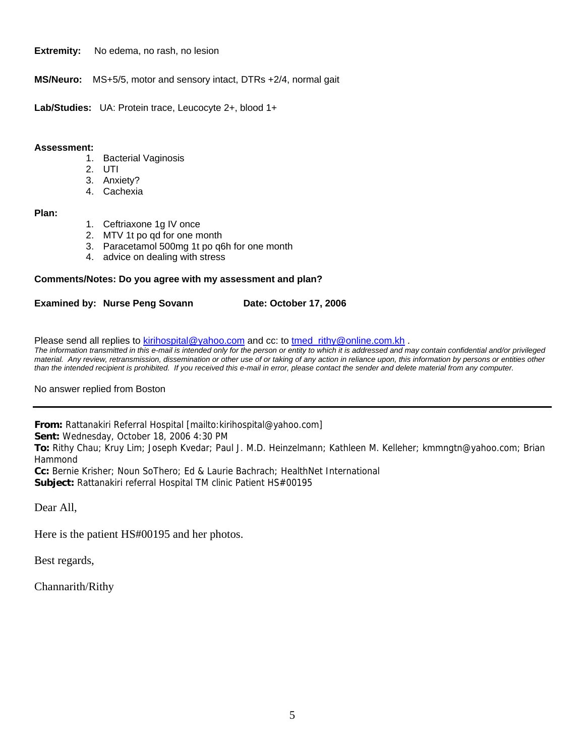**Extremity:** No edema, no rash, no lesion

**MS/Neuro:** MS+5/5, motor and sensory intact, DTRs +2/4, normal gait

**Lab/Studies:** UA: Protein trace, Leucocyte 2+, blood 1+

#### **Assessment:**

- 1. Bacterial Vaginosis
- 2. UTI
- 3. Anxiety?
- 4. Cachexia

#### **Plan:**

- 1. Ceftriaxone 1g IV once
- 2. MTV 1t po qd for one month
- 3. Paracetamol 500mg 1t po q6h for one month
- 4. advice on dealing with stress

#### **Comments/Notes: Do you agree with my assessment and plan?**

**Examined by: Nurse Peng Sovann Date: October 17, 2006** 

Please send all replies to [kirihospital@yahoo.com](mailto:kirihospital@yahoo.com) and cc: to [tmed\\_rithy@online.com.kh](mailto:tmed_rithy@bigpond.com.kh) .

*The information transmitted in this e-mail is intended only for the person or entity to which it is addressed and may contain confidential and/or privileged material. Any review, retransmission, dissemination or other use of or taking of any action in reliance upon, this information by persons or entities other than the intended recipient is prohibited. If you received this e-mail in error, please contact the sender and delete material from any computer.*

No answer replied from Boston

**From:** Rattanakiri Referral Hospital [mailto:kirihospital@yahoo.com]

**Sent:** Wednesday, October 18, 2006 4:30 PM

**To:** Rithy Chau; Kruy Lim; Joseph Kvedar; Paul J. M.D. Heinzelmann; Kathleen M. Kelleher; kmmngtn@yahoo.com; Brian Hammond

**Cc:** Bernie Krisher; Noun SoThero; Ed & Laurie Bachrach; HealthNet International **Subject:** Rattanakiri referral Hospital TM clinic Patient HS#00195

Dear All,

Here is the patient HS#00195 and her photos.

Best regards,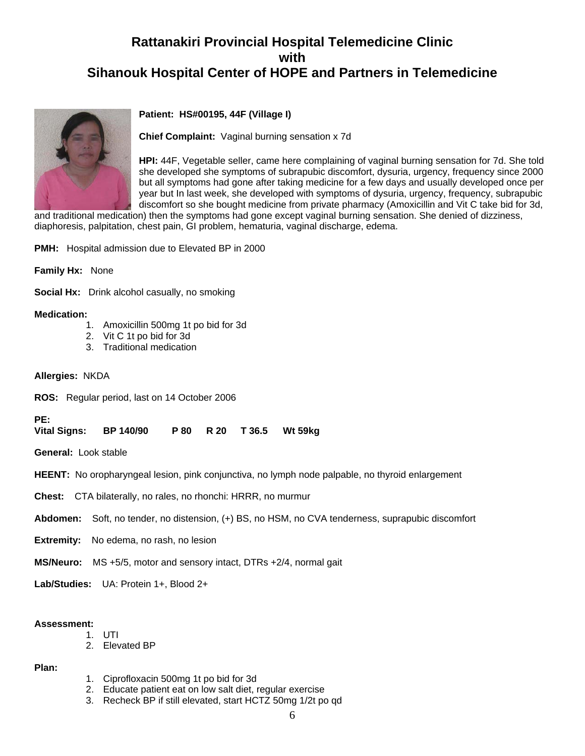

#### **Patient: HS#00195, 44F (Village I)**

**Chief Complaint:** Vaginal burning sensation x 7d

**HPI:** 44F, Vegetable seller, came here complaining of vaginal burning sensation for 7d. She told she developed she symptoms of subrapubic discomfort, dysuria, urgency, frequency since 2000 but all symptoms had gone after taking medicine for a few days and usually developed once per year but In last week, she developed with symptoms of dysuria, urgency, frequency, subrapubic discomfort so she bought medicine from private pharmacy (Amoxicillin and Vit C take bid for 3d,

and traditional medication) then the symptoms had gone except vaginal burning sensation. She denied of dizziness, diaphoresis, palpitation, chest pain, GI problem, hematuria, vaginal discharge, edema.

**PMH:** Hospital admission due to Elevated BP in 2000

**Family Hx:** None

**Social Hx:** Drink alcohol casually, no smoking

#### **Medication:**

- 1. Amoxicillin 500mg 1t po bid for 3d
- 2. Vit C 1t po bid for 3d
- 3. Traditional medication
- **Allergies:** NKDA

**ROS:** Regular period, last on 14 October 2006

#### PE:<br>Vital Signs: **Vital Signs: BP 140/90 P 80 R 20 T 36.5 Wt 59kg**

**General:** Look stable

**HEENT:** No oropharyngeal lesion, pink conjunctiva, no lymph node palpable, no thyroid enlargement

**Chest:** CTA bilaterally, no rales, no rhonchi: HRRR, no murmur

**Abdomen:** Soft, no tender, no distension, (+) BS, no HSM, no CVA tenderness, suprapubic discomfort

**Extremity:** No edema, no rash, no lesion

**MS/Neuro:** MS +5/5, motor and sensory intact, DTRs +2/4, normal gait

**Lab/Studies:** UA: Protein 1+, Blood 2+

#### **Assessment:**

- 1. UTI
- 2. Elevated BP

#### **Plan:**

- 1. Ciprofloxacin 500mg 1t po bid for 3d
- 2. Educate patient eat on low salt diet, regular exercise
- 3. Recheck BP if still elevated, start HCTZ 50mg 1/2t po qd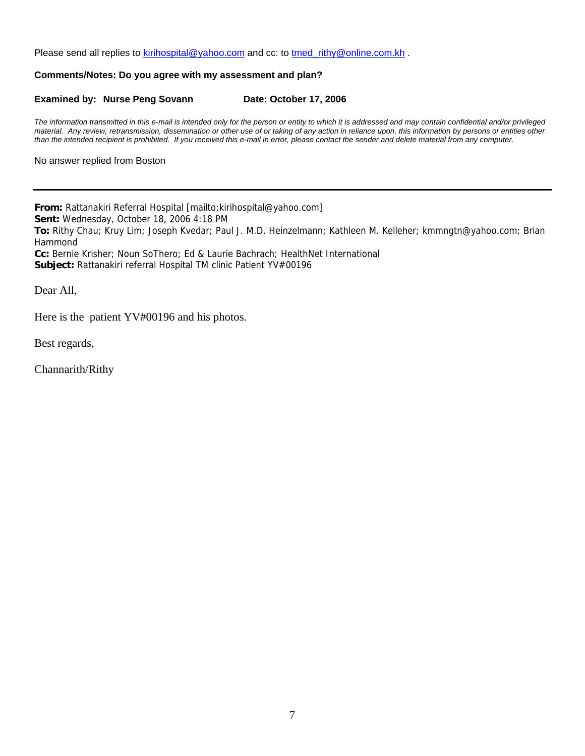Please send all replies to [kirihospital@yahoo.com](mailto:kirihospital@yahoo.com) and cc: to [tmed\\_rithy@online.com.kh](mailto:tmed_rithy@bigpond.com.kh) .

#### **Comments/Notes: Do you agree with my assessment and plan?**

#### **Examined by: Nurse Peng Sovann Date: October 17, 2006**

*The information transmitted in this e-mail is intended only for the person or entity to which it is addressed and may contain confidential and/or privileged material. Any review, retransmission, dissemination or other use of or taking of any action in reliance upon, this information by persons or entities other than the intended recipient is prohibited. If you received this e-mail in error, please contact the sender and delete material from any computer.*

No answer replied from Boston

**From:** Rattanakiri Referral Hospital [mailto:kirihospital@yahoo.com] **Sent:** Wednesday, October 18, 2006 4:18 PM **To:** Rithy Chau; Kruy Lim; Joseph Kvedar; Paul J. M.D. Heinzelmann; Kathleen M. Kelleher; kmmngtn@yahoo.com; Brian Hammond **Cc:** Bernie Krisher; Noun SoThero; Ed & Laurie Bachrach; HealthNet International **Subject:** Rattanakiri referral Hospital TM clinic Patient YV#00196

Dear All,

Here is the patient YV#00196 and his photos.

Best regards,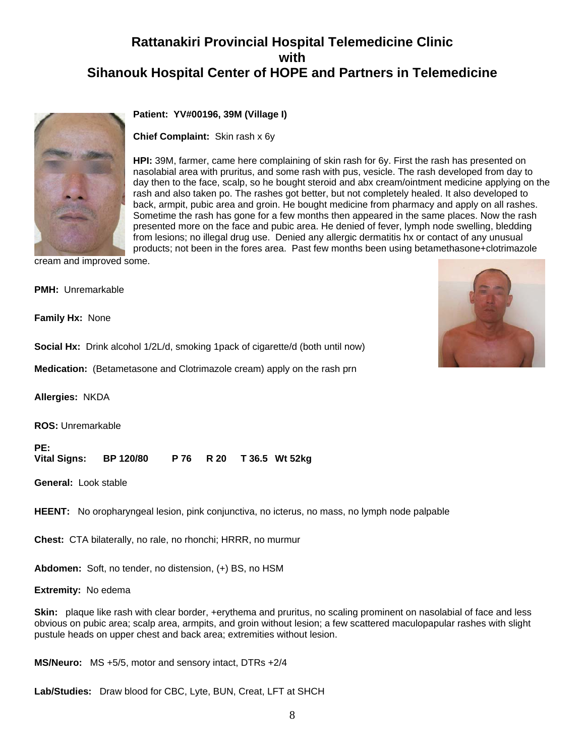

#### **Patient: YV#00196, 39M (Village I)**

**Chief Complaint:** Skin rash x 6y

day then to the face, scalp, so he bought steroid and abx cream/ointment medicine applying on the **HPI:** 39M, farmer, came here complaining of skin rash for 6y. First the rash has presented on nasolabial area with pruritus, and some rash with pus, vesicle. The rash developed from day to rash and also taken po. The rashes got better, but not completely healed. It also developed to back, armpit, pubic area and groin. He bought medicine from pharmacy and apply on all rashes. Sometime the rash has gone for a few months then appeared in the same places. Now the rash presented more on the face and pubic area. He denied of fever, lymph node swelling, bledding from lesions; no illegal drug use. Denied any allergic dermatitis hx or contact of any unusual products; not been in the fores area. Past few months been using betamethasone+clotrimazole

cream and improved some.

**PMH:** Unremarkable

**Family Hx:** None

**Social Hx:** Drink alcohol 1/2L/d, smoking 1pack of cigarette/d (both until now)

**Medication:** (Betametasone and Clotrimazole cream) apply on the rash prn

**Allergies:** NKDA

**ROS:** Unremarkable

#### **PE:**

**Vital Signs: BP 120/80 P 76 R 20 T 36.5 Wt 52kg**

**General:** Look stable

**HEENT:** No oropharyngeal lesion, pink conjunctiva, no icterus, no mass, no lymph node palpable

**Chest:** CTA bilaterally, no rale, no rhonchi; HRRR, no murmur

**Abdomen:** Soft, no tender, no distension, (+) BS, no HSM

**Extremity:** No edema

**Skin:** plaque like rash with clear border, +erythema and pruritus, no scaling prominent on nasolabial of face and less obvious on pubic area; scalp area, armpits, and groin without lesion; a few scattered maculopapular rashes with slight pustule heads on upper chest and back area; extremities without lesion.

**MS/Neuro:** MS +5/5, motor and sensory intact, DTRs +2/4

**Lab/Studies:** Draw blood for CBC, Lyte, BUN, Creat, LFT at SHCH

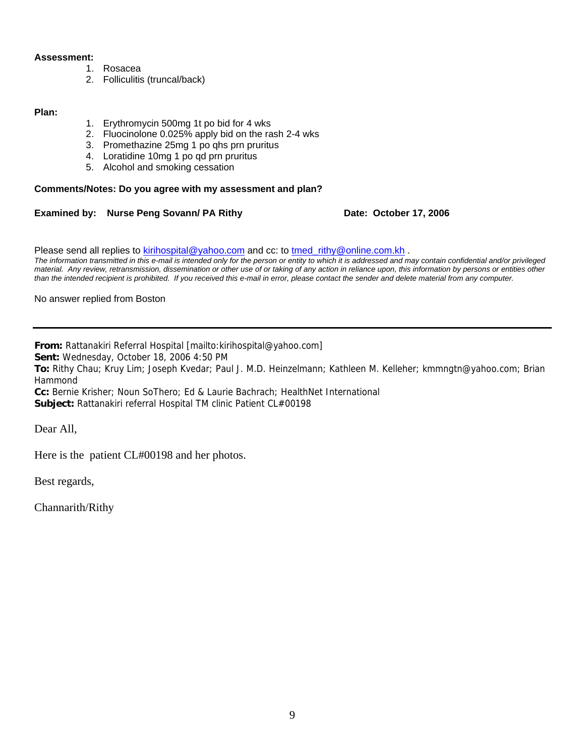#### **Assessment:**

- 1. Rosacea
- 2. Folliculitis (truncal/back)

#### **Plan:**

- 1. Erythromycin 500mg 1t po bid for 4 wks
- 2. Fluocinolone 0.025% apply bid on the rash 2-4 wks
- 3. Promethazine 25mg 1 po qhs prn pruritus
- 4. Loratidine 10mg 1 po qd prn pruritus
- 5. Alcohol and smoking cessation

#### **Comments/Notes: Do you agree with my assessment and plan?**

#### **Examined by: Nurse Peng Sovann/ PA Rithy <b>Date: October 17, 2006**

Please send all replies to [kirihospital@yahoo.com](mailto:kirihospital@yahoo.com) and cc: to [tmed\\_rithy@online.com.kh](mailto:tmed_rithy@bigpond.com.kh) .

*The information transmitted in this e-mail is intended only for the person or entity to which it is addressed and may contain confidential and/or privileged material. Any review, retransmission, dissemination or other use of or taking of any action in reliance upon, this information by persons or entities other than the intended recipient is prohibited. If you received this e-mail in error, please contact the sender and delete material from any computer.*

No answer replied from Boston

**From:** Rattanakiri Referral Hospital [mailto:kirihospital@yahoo.com]

**Sent:** Wednesday, October 18, 2006 4:50 PM

**To:** Rithy Chau; Kruy Lim; Joseph Kvedar; Paul J. M.D. Heinzelmann; Kathleen M. Kelleher; kmmngtn@yahoo.com; Brian Hammond

**Cc:** Bernie Krisher; Noun SoThero; Ed & Laurie Bachrach; HealthNet International **Subject:** Rattanakiri referral Hospital TM clinic Patient CL#00198

Dear All,

Here is the patient CL#00198 and her photos.

Best regards,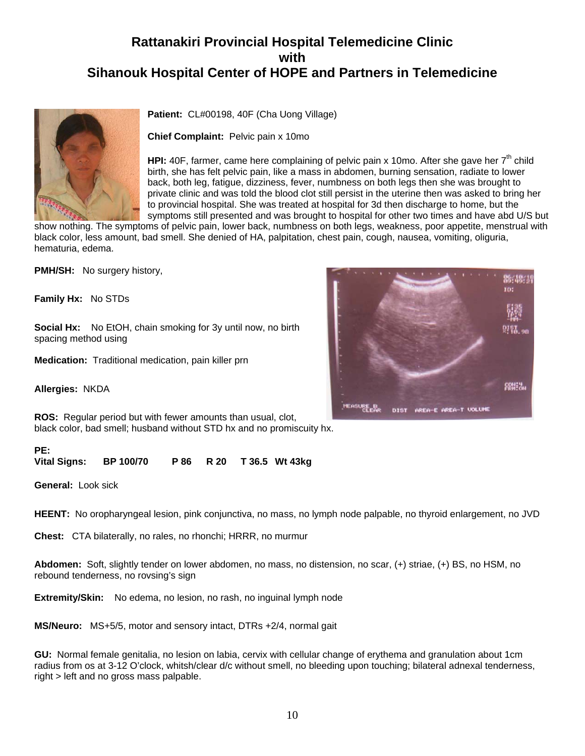

**Patient:** CL#00198, 40F (Cha Uong Village)

**Chief Complaint:** Pelvic pain x 10mo

**HPI:** 40F, farmer, came here complaining of pelvic pain x 10mo. After she gave her 7<sup>th</sup> child birth, she has felt pelvic pain, like a mass in abdomen, burning sensation, radiate to lower back, both leg, fatigue, dizziness, fever, numbness on both legs then she was brought to private clinic and was told the blood clot still persist in the uterine then was asked to bring her to provincial hospital. She was treated at hospital for 3d then discharge to home, but the symptoms still presented and was brought to hospital for other two times and have abd U/S but

show nothing. The symptoms of pelvic pain, lower back, numbness on both legs, weakness, poor appetite, menstrual with black color, less amount, bad smell. She denied of HA, palpitation, chest pain, cough, nausea, vomiting, oliguria, hematuria, edema.

**PMH/SH:** No surgery history,

**Family Hx:** No STDs

**Social Hx:** No EtOH, chain smoking for 3y until now, no birth spacing method using

**Medication:** Traditional medication, pain killer prn

**Allergies:** NKDA

**ROS:** Regular period but with fewer amounts than usual, clot, black color, bad smell; husband without STD hx and no promiscuity hx.

#### **PE:**

**Vital Signs: BP 100/70 P 86 R 20 T 36.5 Wt 43kg** 

**General:** Look sick

**HEENT:** No oropharyngeal lesion, pink conjunctiva, no mass, no lymph node palpable, no thyroid enlargement, no JVD

**Chest:** CTA bilaterally, no rales, no rhonchi; HRRR, no murmur

**Abdomen:** Soft, slightly tender on lower abdomen, no mass, no distension, no scar, (+) striae, (+) BS, no HSM, no rebound tenderness, no rovsing's sign

**Extremity/Skin:** No edema, no lesion, no rash, no inguinal lymph node

**MS/Neuro:** MS+5/5, motor and sensory intact, DTRs +2/4, normal gait

**GU:** Normal female genitalia, no lesion on labia, cervix with cellular change of erythema and granulation about 1cm radius from os at 3-12 O'clock, whitsh/clear d/c without smell, no bleeding upon touching; bilateral adnexal tenderness, right > left and no gross mass palpable.

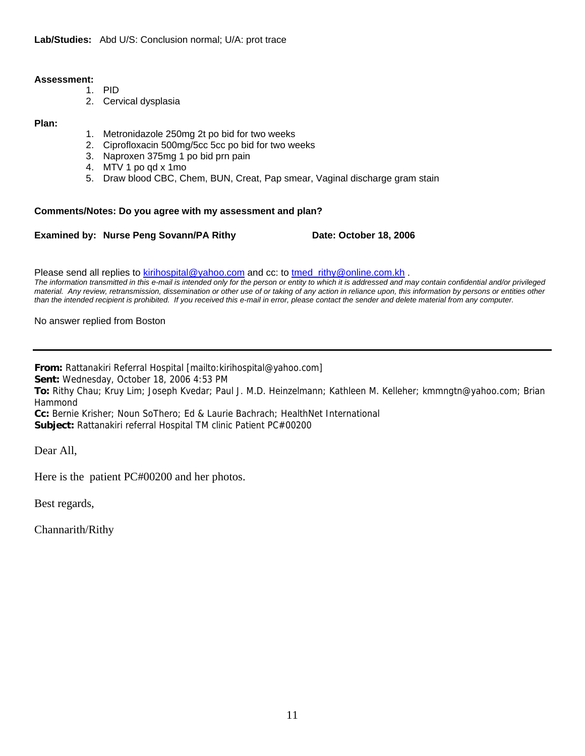#### **Assessment:**

- 1. PID
	- 2. Cervical dysplasia

#### **Plan:**

- 1. Metronidazole 250mg 2t po bid for two weeks
- 2. Ciprofloxacin 500mg/5cc 5cc po bid for two weeks
- 3. Naproxen 375mg 1 po bid prn pain
- 4. MTV 1 po qd x 1mo
- 5. Draw blood CBC, Chem, BUN, Creat, Pap smear, Vaginal discharge gram stain

#### **Comments/Notes: Do you agree with my assessment and plan?**

#### **Examined by: Nurse Peng Sovann/PA Rithy Date: October 18, 2006**

Please send all replies to **[kirihospital@yahoo.com](mailto:kirihospital@yahoo.com)** and cc: to tmed\_rithy@online.com.kh.

*The information transmitted in this e-mail is intended only for the person or entity to which it is addressed and may contain confidential and/or privileged*  material. Any review, retransmission, dissemination or other use of or taking of any action in reliance upon, this information by persons or entities other *than the intended recipient is prohibited. If you received this e-mail in error, please contact the sender and delete material from any computer.*

#### No answer replied from Boston

**From:** Rattanakiri Referral Hospital [mailto:kirihospital@yahoo.com]

**Sent:** Wednesday, October 18, 2006 4:53 PM

**To:** Rithy Chau; Kruy Lim; Joseph Kvedar; Paul J. M.D. Heinzelmann; Kathleen M. Kelleher; kmmngtn@yahoo.com; Brian Hammond

**Cc:** Bernie Krisher; Noun SoThero; Ed & Laurie Bachrach; HealthNet International **Subject:** Rattanakiri referral Hospital TM clinic Patient PC#00200

Dear All,

Here is the patient PC#00200 and her photos.

Best regards,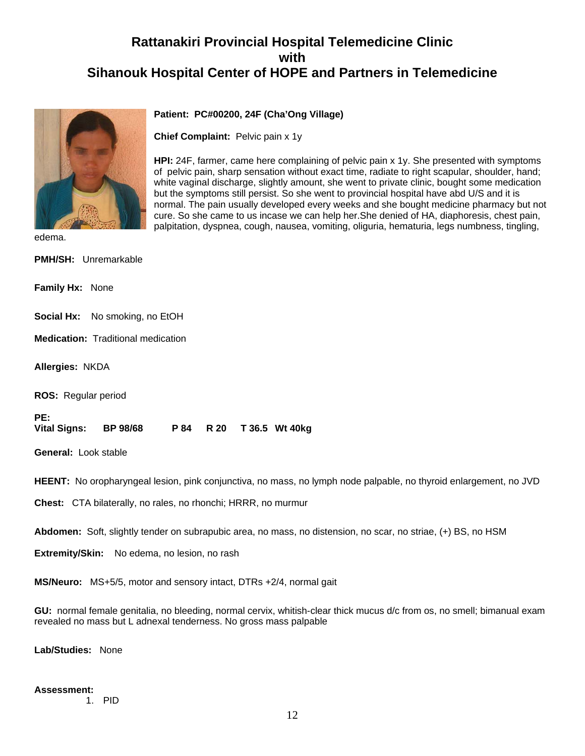

#### **Patient: PC#00200, 24F (Cha'Ong Village)**

**Chief Complaint:** Pelvic pain x 1y

**HPI:** 24F, farmer, came here complaining of pelvic pain x 1y. She presented with symptoms of pelvic pain, sharp sensation without exact time, radiate to right scapular, shoulder, hand; white vaginal discharge, slightly amount, she went to private clinic, bought some medication but the symptoms still persist. So she went to provincial hospital have abd U/S and it is normal. The pain usually developed every weeks and she bought medicine pharmacy but not cure. So she came to us incase we can help her.She denied of HA, diaphoresis, chest pain, palpitation, dyspnea, cough, nausea, vomiting, oliguria, hematuria, legs numbness, tingling,

edema.

**PMH/SH:** Unremarkable

**Family Hx:** None

**Social Hx:** No smoking, no EtOH

**Medication:** Traditional medication

**Allergies:** NKDA

**ROS:** Regular period

**PE:** 

**Vital Signs: BP 98/68 P 84 R 20 T 36.5 Wt 40kg** 

**General:** Look stable

**HEENT:** No oropharyngeal lesion, pink conjunctiva, no mass, no lymph node palpable, no thyroid enlargement, no JVD

**Chest:** CTA bilaterally, no rales, no rhonchi; HRRR, no murmur

**Abdomen:** Soft, slightly tender on subrapubic area, no mass, no distension, no scar, no striae, (+) BS, no HSM

**Extremity/Skin:** No edema, no lesion, no rash

**MS/Neuro:** MS+5/5, motor and sensory intact, DTRs +2/4, normal gait

**GU:** normal female genitalia, no bleeding, normal cervix, whitish-clear thick mucus d/c from os, no smell; bimanual exam revealed no mass but L adnexal tenderness. No gross mass palpable

**Lab/Studies:** None

#### **Assessment:**

1. PID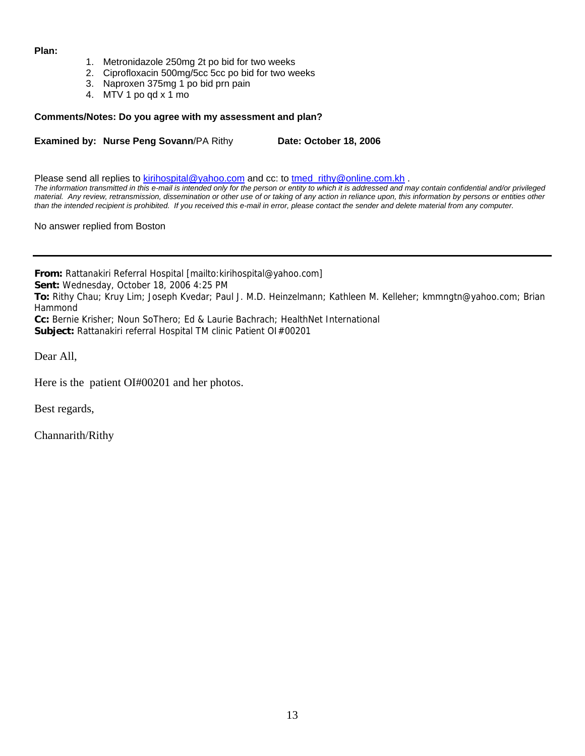#### **Plan:**

- 1. Metronidazole 250mg 2t po bid for two weeks
- 2. Ciprofloxacin 500mg/5cc 5cc po bid for two weeks
- 3. Naproxen 375mg 1 po bid prn pain
- 4. MTV 1 po qd x 1 mo

#### **Comments/Notes: Do you agree with my assessment and plan?**

**Examined by: Nurse Peng Sovann/PA Rithy [Date: October 18, 2006]** 

Please send all replies to [kirihospital@yahoo.com](mailto:kirihospital@yahoo.com) and cc: to [tmed\\_rithy@online.com.kh](mailto:tmed_rithy@bigpond.com.kh) . *The information transmitted in this e-mail is intended only for the person or entity to which it is addressed and may contain confidential and/or privileged material. Any review, retransmission, dissemination or other use of or taking of any action in reliance upon, this information by persons or entities other than the intended recipient is prohibited. If you received this e-mail in error, please contact the sender and delete material from any computer.*

No answer replied from Boston

**From:** Rattanakiri Referral Hospital [mailto:kirihospital@yahoo.com]

**Sent:** Wednesday, October 18, 2006 4:25 PM

**To:** Rithy Chau; Kruy Lim; Joseph Kvedar; Paul J. M.D. Heinzelmann; Kathleen M. Kelleher; kmmngtn@yahoo.com; Brian Hammond

**Cc:** Bernie Krisher; Noun SoThero; Ed & Laurie Bachrach; HealthNet International

**Subject:** Rattanakiri referral Hospital TM clinic Patient OI#00201

Dear All,

Here is the patient OI#00201 and her photos.

Best regards,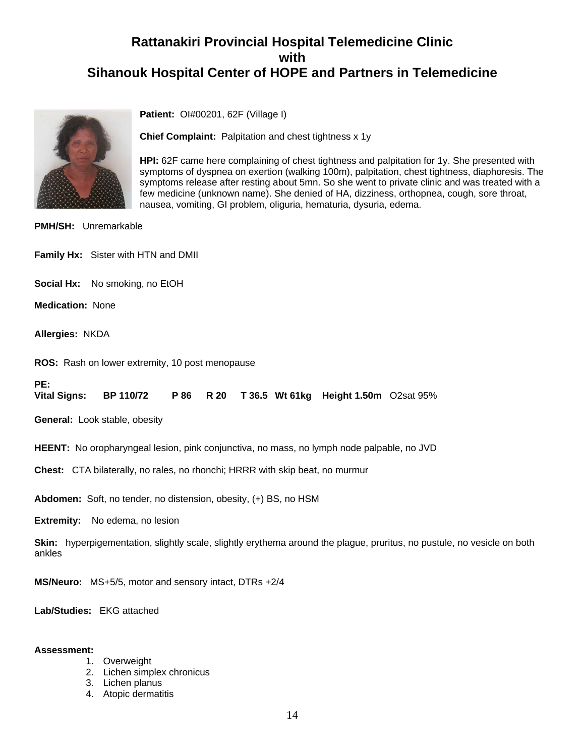

**Patient:** OI#00201, 62F (Village I)

**Chief Complaint:** Palpitation and chest tightness x 1y

**HPI:** 62F came here complaining of chest tightness and palpitation for 1y. She presented with symptoms of dyspnea on exertion (walking 100m), palpitation, chest tightness, diaphoresis. The symptoms release after resting about 5mn. So she went to private clinic and was treated with a few medicine (unknown name). She denied of HA, dizziness, orthopnea, cough, sore throat, nausea, vomiting, GI problem, oliguria, hematuria, dysuria, edema.

**PMH/SH:** Unremarkable

**Family Hx:** Sister with HTN and DMII

**Social Hx:** No smoking, no EtOH

**Medication:** None

**Allergies:** NKDA

**ROS:** Rash on lower extremity, 10 post menopause

**PE:** 

**Vital Signs: BP 110/72 P 86 R 20 T 36.5 Wt 61kg Height 1.50m** O2sat 95%

**General:** Look stable, obesity

**HEENT:** No oropharyngeal lesion, pink conjunctiva, no mass, no lymph node palpable, no JVD

**Chest:** CTA bilaterally, no rales, no rhonchi; HRRR with skip beat, no murmur

**Abdomen:** Soft, no tender, no distension, obesity, (+) BS, no HSM

**Extremity:** No edema, no lesion

**Skin:** hyperpigementation, slightly scale, slightly erythema around the plague, pruritus, no pustule, no vesicle on both ankles

**MS/Neuro:** MS+5/5, motor and sensory intact, DTRs +2/4

**Lab/Studies:** EKG attached

#### **Assessment:**

- 1. Overweight
- 2. Lichen simplex chronicus
- 3. Lichen planus
- 4. Atopic dermatitis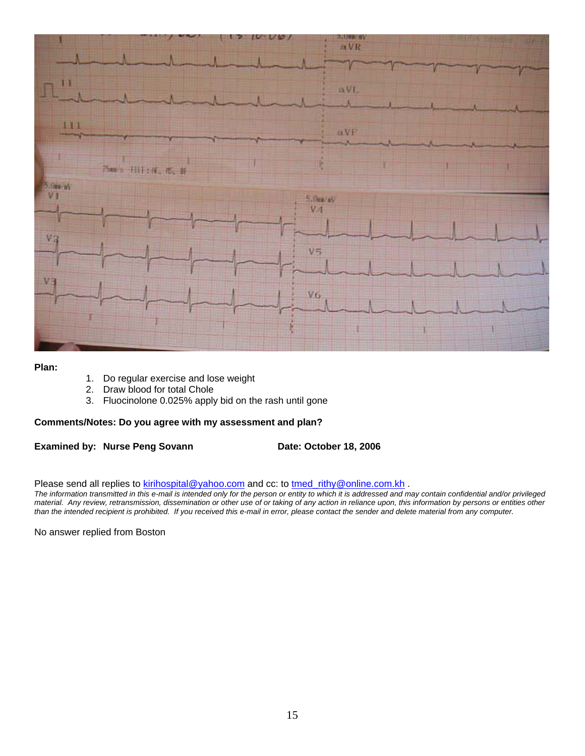

#### **Plan:**

- 1. Do regular exercise and lose weight
- 2. Draw blood for total Chole
- 3. Fluocinolone 0.025% apply bid on the rash until gone

#### **Comments/Notes: Do you agree with my assessment and plan?**

**Examined by: Nurse Peng Sovann Date: October 18, 2006** 

Please send all replies to [kirihospital@yahoo.com](mailto:kirihospital@yahoo.com) and cc: to [tmed\\_rithy@online.com.kh](mailto:tmed_rithy@bigpond.com.kh) .

*The information transmitted in this e-mail is intended only for the person or entity to which it is addressed and may contain confidential and/or privileged material. Any review, retransmission, dissemination or other use of or taking of any action in reliance upon, this information by persons or entities other than the intended recipient is prohibited. If you received this e-mail in error, please contact the sender and delete material from any computer.*

No answer replied from Boston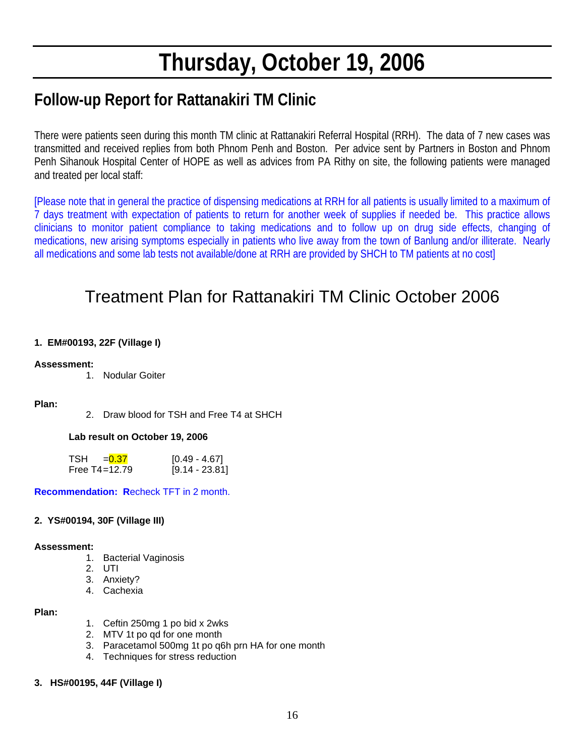# **Thursday, October 19, 2006**

## **Follow-up Report for Rattanakiri TM Clinic**

There were patients seen during this month TM clinic at Rattanakiri Referral Hospital (RRH). The data of 7 new cases was transmitted and received replies from both Phnom Penh and Boston. Per advice sent by Partners in Boston and Phnom Penh Sihanouk Hospital Center of HOPE as well as advices from PA Rithy on site, the following patients were managed and treated per local staff:

[Please note that in general the practice of dispensing medications at RRH for all patients is usually limited to a maximum of 7 days treatment with expectation of patients to return for another week of supplies if needed be. This practice allows clinicians to monitor patient compliance to taking medications and to follow up on drug side effects, changing of medications, new arising symptoms especially in patients who live away from the town of Banlung and/or illiterate. Nearly all medications and some lab tests not available/done at RRH are provided by SHCH to TM patients at no cost]

## Treatment Plan for Rattanakiri TM Clinic October 2006

#### **1. EM#00193, 22F (Village I)**

#### **Assessment:**

1. Nodular Goiter

#### **Plan:**

2. Draw blood for TSH and Free T4 at SHCH

#### **Lab result on October 19, 2006**

| TSH<br>$= 0.37$   | $[0.49 - 4.67]$  |
|-------------------|------------------|
| Free $T4 = 12.79$ | $[9.14 - 23.81]$ |

**Recommendation: R**echeck TFT in 2 month.

#### **2. YS#00194, 30F (Village III)**

#### **Assessment:**

- 1. Bacterial Vaginosis
- 2. UTI
- 3. Anxiety?
- 4. Cachexia

#### **Plan:**

- 1. Ceftin 250mg 1 po bid x 2wks
- 2. MTV 1t po qd for one month
- 3. Paracetamol 500mg 1t po q6h prn HA for one month
- 4. Techniques for stress reduction

#### **3. HS#00195, 44F (Village I)**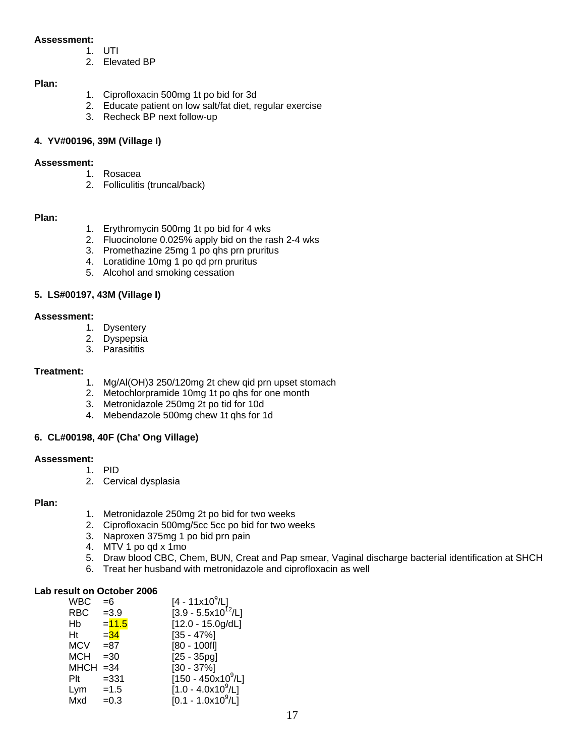#### **Assessment:**

- 1. UTI
- 2. Elevated BP

#### **Plan:**

- 1. Ciprofloxacin 500mg 1t po bid for 3d
- 2. Educate patient on low salt/fat diet, regular exercise
- 3. Recheck BP next follow-up

#### **4. YV#00196, 39M (Village I)**

#### **Assessment:**

- 1. Rosacea
- 2. Folliculitis (truncal/back)

#### **Plan:**

- 1. Erythromycin 500mg 1t po bid for 4 wks
- 2. Fluocinolone 0.025% apply bid on the rash 2-4 wks
- 3. Promethazine 25mg 1 po qhs prn pruritus
- 4. Loratidine 10mg 1 po qd prn pruritus
- 5. Alcohol and smoking cessation

#### **5. LS#00197, 43M (Village I)**

#### **Assessment:**

- 1. Dysentery
- 2. Dyspepsia
- 3. Parasititis

#### **Treatment:**

- 1. Mg/Al(OH)3 250/120mg 2t chew qid prn upset stomach
- 2. Metochlorpramide 10mg 1t po qhs for one month
- 3. Metronidazole 250mg 2t po tid for 10d
- 4. Mebendazole 500mg chew 1t qhs for 1d

#### **6. CL#00198, 40F (Cha' Ong Village)**

#### **Assessment:**

- 1. PID
	- 2. Cervical dysplasia

#### **Plan:**

- 1. Metronidazole 250mg 2t po bid for two weeks
- 2. Ciprofloxacin 500mg/5cc 5cc po bid for two weeks
- 3. Naproxen 375mg 1 po bid prn pain
- 4. MTV 1 po qd x 1mo
- 5. Draw blood CBC, Chem, BUN, Creat and Pap smear, Vaginal discharge bacterial identification at SHCH
- 6. Treat her husband with metronidazole and ciprofloxacin as well

#### **Lab result on October 2006**

| <b>WBC</b>  | $=6$     | $[4 - 11x10^9/L]$       |
|-------------|----------|-------------------------|
| <b>RBC</b>  | $=3.9$   | $[3.9 - 5.5x10^{12}/L]$ |
| Hb          | $= 11.5$ | $[12.0 - 15.0g/dL]$     |
| Ηt          | $=$ 34   | $[35 - 47\%]$           |
| <b>MCV</b>  | $= 87$   | $[80 - 100f]$           |
| <b>MCH</b>  | $=30$    | $[25 - 35pg]$           |
| $MHCH = 34$ |          | $[30 - 37\%]$           |
| Plt         | $= 331$  | $[150 - 450x10^9/L]$    |
| $Lym = 1.5$ |          | $[1.0 - 4.0x10^9/L]$    |
| Mxd         | $=0.3$   | $[0.1 - 1.0x10^9/L]$    |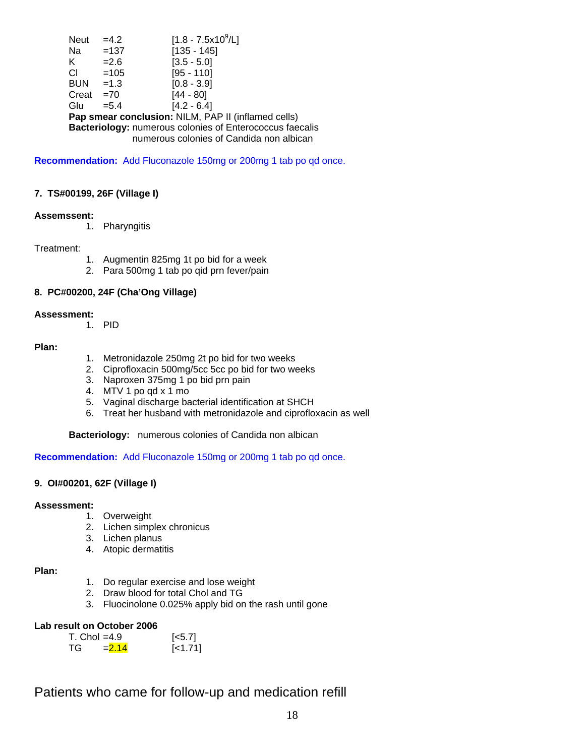Neut =4.2 [1.8 - 7.5x10<sup>9</sup>/L] Na =137 [135 - 145] K  $=2.6$  [3.5 - 5.0]  $CI = 105$  [95 - 110] BUN = 1.3 [0.8 - 3.9]<br>Creat = 70 [44 - 80]  $Create = 70$ Glu =  $5.4$  [4.2 - 6.4]  **Pap smear conclusion:** NILM, PAP II (inflamed cells)  **Bacteriology:** numerous colonies of Enterococcus faecalis numerous colonies of Candida non albican

**Recommendation:** Add Fluconazole 150mg or 200mg 1 tab po qd once.

#### **7. TS#00199, 26F (Village I)**

#### **Assemssent:**

1. Pharyngitis

#### Treatment:

- 1. Augmentin 825mg 1t po bid for a week
- 2. Para 500mg 1 tab po qid prn fever/pain

#### **8. PC#00200, 24F (Cha'Ong Village)**

#### **Assessment:**

1. PID

#### **Plan:**

- 1. Metronidazole 250mg 2t po bid for two weeks
- 2. Ciprofloxacin 500mg/5cc 5cc po bid for two weeks
- 3. Naproxen 375mg 1 po bid prn pain
- 4. MTV 1 po qd x 1 mo
- 5. Vaginal discharge bacterial identification at SHCH
- 6. Treat her husband with metronidazole and ciprofloxacin as well

 **Bacteriology:** numerous colonies of Candida non albican

**Recommendation:** Add Fluconazole 150mg or 200mg 1 tab po qd once.

#### **9. OI#00201, 62F (Village I)**

#### **Assessment:**

- 1. Overweight
- 2. Lichen simplex chronicus
- 3. Lichen planus
- 4. Atopic dermatitis

#### **Plan:**

- 1. Do regular exercise and lose weight
- 2. Draw blood for total Chol and TG
- 3. Fluocinolone 0.025% apply bid on the rash until gone

#### **Lab result on October 2006**

| $T_{\rm c}$ Chol =4.9 | $[-5.7]$ |           |
|-----------------------|----------|-----------|
| TG.                   | $= 2.14$ | $[-1.71]$ |

## Patients who came for follow-up and medication refill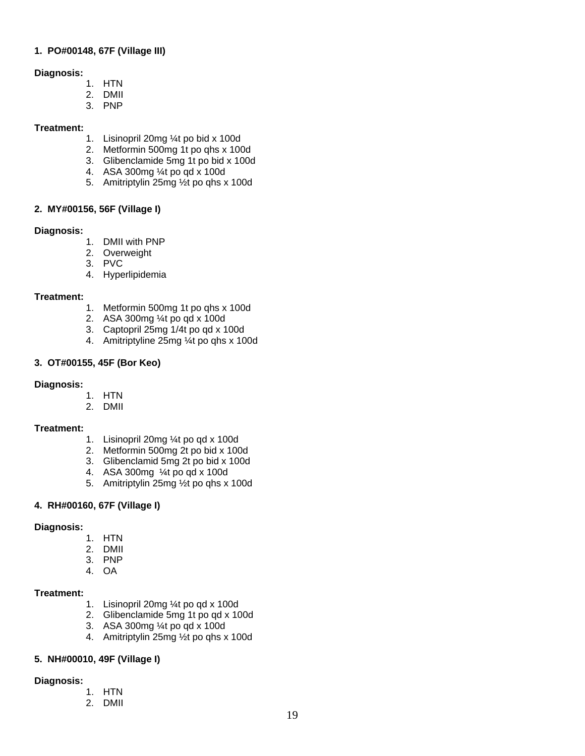#### **1. PO#00148, 67F (Village III)**

#### **Diagnosis:**

- 1. HTN
- 2. DMII
- 3. PNP

#### **Treatment:**

- 1. Lisinopril 20mg ¼t po bid x 100d
- 2. Metformin 500mg 1t po qhs x 100d
- 3. Glibenclamide 5mg 1t po bid x 100d
- 4. ASA 300mg ¼t po qd x 100d
- 5. Amitriptylin 25mg ½t po qhs x 100d

#### **2. MY#00156, 56F (Village I)**

#### **Diagnosis:**

- 1. DMII with PNP
- 2. Overweight
- 3. PVC
- 4. Hyperlipidemia

#### **Treatment:**

- 1. Metformin 500mg 1t po qhs x 100d
- 2. ASA 300mg ¼t po qd x 100d
- 3. Captopril 25mg 1/4t po qd x 100d
- 4. Amitriptyline 25mg ¼t po qhs x 100d

#### **3. OT#00155, 45F (Bor Keo)**

#### **Diagnosis:**

- 1. HTN
- 2. DMII

#### **Treatment:**

- 1. Lisinopril 20mg ¼t po qd x 100d
- 2. Metformin 500mg 2t po bid x 100d
- 3. Glibenclamid 5mg 2t po bid x 100d
- 4. ASA 300mg ¼t po qd x 100d
- 5. Amitriptylin 25mg ½t po qhs x 100d

#### **4. RH#00160, 67F (Village I)**

#### **Diagnosis:**

- 1. HTN
- 2. DMII
- 3. PNP
- 4. OA

#### **Treatment:**

- 1. Lisinopril 20mg ¼t po qd x 100d
- 2. Glibenclamide 5mg 1t po qd x 100d
- 3. ASA 300mg ¼t po qd x 100d
- 4. Amitriptylin 25mg ½t po qhs x 100d

#### **5. NH#00010, 49F (Village I)**

#### **Diagnosis:**

- 1. HTN 2. DMII
-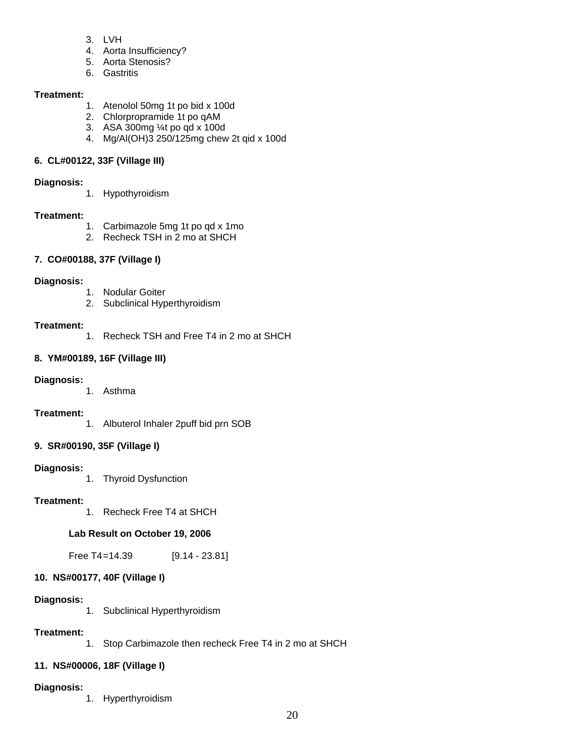- 3. LVH
- 4. Aorta Insufficiency?
- 5. Aorta Stenosis?
- 6. Gastritis

#### **Treatment:**

- 1. Atenolol 50mg 1t po bid x 100d
- 2. Chlorpropramide 1t po qAM
- 3. ASA 300mg ¼t po qd x 100d
- 4. Mg/Al(OH)3 250/125mg chew 2t qid x 100d

#### **6. CL#00122, 33F (Village III)**

#### **Diagnosis:**

1. Hypothyroidism

#### **Treatment:**

- 1. Carbimazole 5mg 1t po qd x 1mo
- 2. Recheck TSH in 2 mo at SHCH

#### **7. CO#00188, 37F (Village I)**

#### **Diagnosis:**

- 1. Nodular Goiter
- 2. Subclinical Hyperthyroidism

#### **Treatment:**

1. Recheck TSH and Free T4 in 2 mo at SHCH

#### **8. YM#00189, 16F (Village III)**

#### **Diagnosis:**

1. Asthma

#### **Treatment:**

1. Albuterol Inhaler 2puff bid prn SOB

#### **9. SR#00190, 35F (Village I)**

#### **Diagnosis:**

1. Thyroid Dysfunction

#### **Treatment:**

1. Recheck Free T4 at SHCH

#### **Lab Result on October 19, 2006**

Free T4=14.39 [9.14 - 23.81]

### **10. NS#00177, 40F (Village I)**

### **Diagnosis:**

1. Subclinical Hyperthyroidism

### **Treatment:**

1. Stop Carbimazole then recheck Free T4 in 2 mo at SHCH

### **11. NS#00006, 18F (Village I)**

### **Diagnosis:**

1. Hyperthyroidism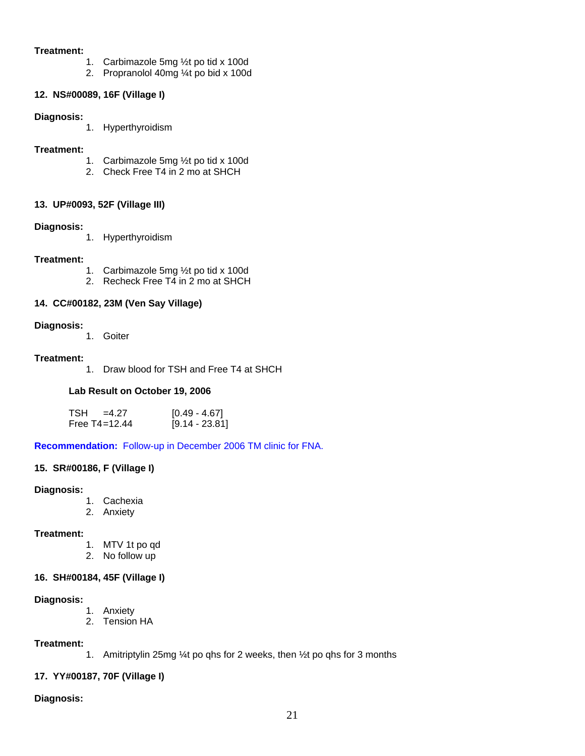#### **Treatment:**

- 1. Carbimazole 5mg ½t po tid x 100d
- 2. Propranolol 40mg ¼t po bid x 100d

#### **12. NS#00089, 16F (Village I)**

#### **Diagnosis:**

1. Hyperthyroidism

#### **Treatment:**

- 1. Carbimazole 5mg ½t po tid x 100d
- 2. Check Free T4 in 2 mo at SHCH

#### **13. UP#0093, 52F (Village III)**

#### **Diagnosis:**

1. Hyperthyroidism

#### **Treatment:**

- 1. Carbimazole 5mg ½t po tid x 100d
- 2. Recheck Free  $T\overline{4}$  in 2 mo at SHCH

#### **14. CC#00182, 23M (Ven Say Village)**

#### **Diagnosis:**

1. Goiter

#### **Treatment:**

1. Draw blood for TSH and Free T4 at SHCH

#### **Lab Result on October 19, 2006**

| $TSH = 4.27$      | $[0.49 - 4.67]$  |
|-------------------|------------------|
| Free $T4 = 12.44$ | $[9.14 - 23.81]$ |

**Recommendation:** Follow-up in December 2006 TM clinic for FNA.

#### **15. SR#00186, F (Village I)**

#### **Diagnosis:**

- 1. Cachexia
- 2. Anxiety

#### **Treatment:**

- 1. MTV 1t po qd
- 2. No follow up

#### **16. SH#00184, 45F (Village I)**

#### **Diagnosis:**

- 1. Anxiety
- 2. Tension HA

#### **Treatment:**

1. Amitriptylin 25mg ¼t po qhs for 2 weeks, then ½t po qhs for 3 months

#### **17. YY#00187, 70F (Village I)**

#### **Diagnosis:**